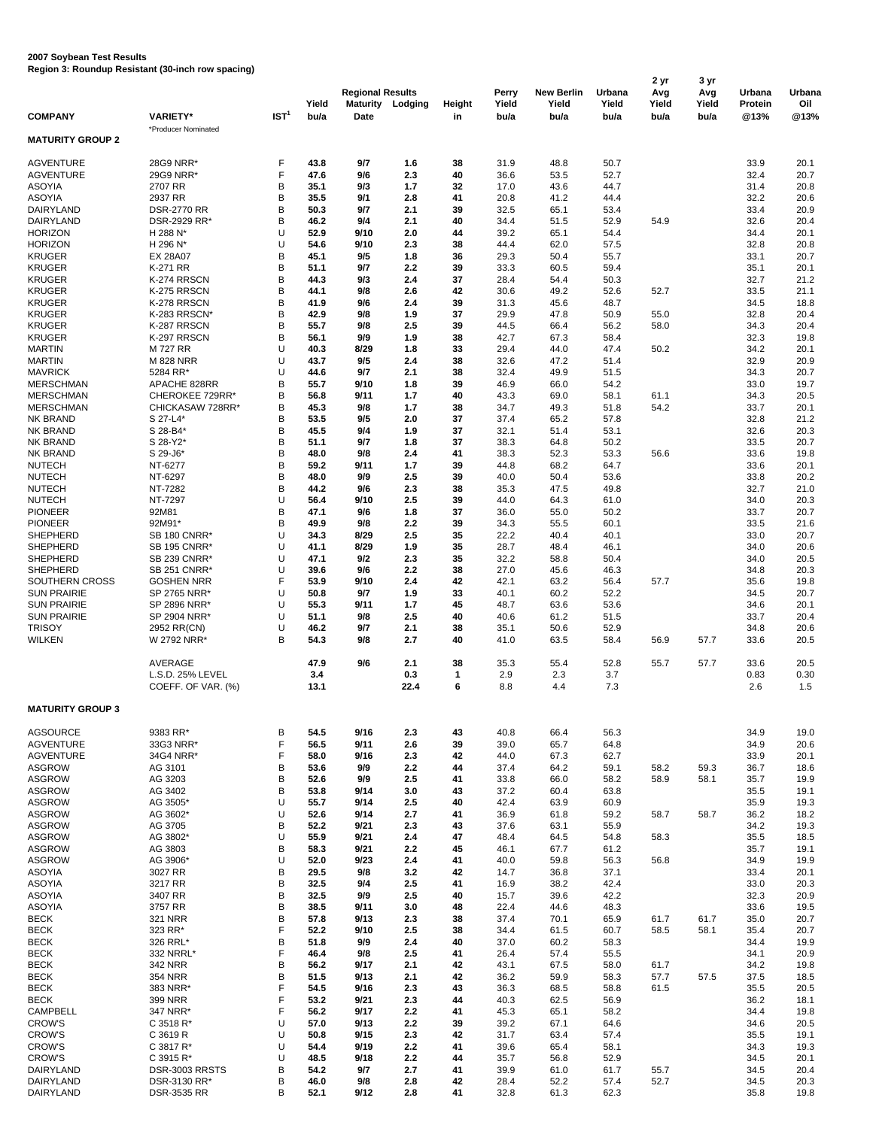|                                          |                                        |                  |               | <b>Regional Results</b> |             |              | Perry         | <b>New Berlin</b> | Urbana        | 2 yr<br>Avg   | 3 yr<br>Avg   | Urbana          | Urbana       |
|------------------------------------------|----------------------------------------|------------------|---------------|-------------------------|-------------|--------------|---------------|-------------------|---------------|---------------|---------------|-----------------|--------------|
| <b>COMPANY</b>                           | <b>VARIETY*</b>                        | IST <sup>1</sup> | Yield<br>bu/a | <b>Maturity</b><br>Date | Lodging     | Height<br>in | Yield<br>bu/a | Yield<br>bu/a     | Yield<br>bu/a | Yield<br>bu/a | Yield<br>bu/a | Protein<br>@13% | Oil<br>@13%  |
| <b>MATURITY GROUP 2</b>                  | *Producer Nominated                    |                  |               |                         |             |              |               |                   |               |               |               |                 |              |
| <b>AGVENTURE</b>                         | 28G9 NRR*                              | F                | 43.8          | 9/7                     | 1.6         | 38           | 31.9          | 48.8              | 50.7          |               |               | 33.9            | 20.1         |
| <b>AGVENTURE</b>                         | 29G9 NRR*                              | F                | 47.6          | 9/6                     | 2.3         | 40           | 36.6          | 53.5              | 52.7          |               |               | 32.4            | 20.7         |
| <b>ASOYIA</b>                            | 2707 RR                                | B                | 35.1          | 9/3                     | 1.7         | 32           | 17.0          | 43.6              | 44.7          |               |               | 31.4            | 20.8         |
| <b>ASOYIA</b>                            | 2937 RR                                | B                | 35.5          | 9/1                     | 2.8         | 41           | 20.8          | 41.2              | 44.4          |               |               | 32.2            | 20.6         |
| DAIRYLAND                                | <b>DSR-2770 RR</b>                     | B                | 50.3          | 9/7                     | 2.1         | 39           | 32.5          | 65.1              | 53.4          |               |               | 33.4            | 20.9         |
| DAIRYLAND                                | DSR-2929 RR*                           | B                | 46.2          | 9/4                     | 2.1         | 40           | 34.4          | 51.5              | 52.9          | 54.9          |               | 32.6            | 20.4         |
| <b>HORIZON</b>                           | H 288 N*                               | U                | 52.9          | 9/10                    | 2.0         | 44           | 39.2          | 65.1              | 54.4          |               |               | 34.4            | 20.1         |
| <b>HORIZON</b><br><b>KRUGER</b>          | H 296 N*<br><b>EX 28A07</b>            | U<br>B           | 54.6<br>45.1  | 9/10<br>9/5             | 2.3<br>1.8  | 38<br>36     | 44.4<br>29.3  | 62.0<br>50.4      | 57.5<br>55.7  |               |               | 32.8<br>33.1    | 20.8<br>20.7 |
| <b>KRUGER</b>                            | K-271 RR                               | B                | 51.1          | 9/7                     | 2.2         | 39           | 33.3          | 60.5              | 59.4          |               |               | 35.1            | 20.1         |
| <b>KRUGER</b>                            | K-274 RRSCN                            | B                | 44.3          | 9/3                     | 2.4         | 37           | 28.4          | 54.4              | 50.3          |               |               | 32.7            | 21.2         |
| <b>KRUGER</b>                            | K-275 RRSCN                            | B                | 44.1          | 9/8                     | 2.6         | 42           | 30.6          | 49.2              | 52.6          | 52.7          |               | 33.5            | 21.1         |
| <b>KRUGER</b>                            | K-278 RRSCN                            | B                | 41.9          | 9/6                     | 2.4         | 39           | 31.3          | 45.6              | 48.7          |               |               | 34.5            | 18.8         |
| <b>KRUGER</b>                            | K-283 RRSCN*                           | B                | 42.9          | 9/8                     | 1.9         | 37           | 29.9          | 47.8              | 50.9          | 55.0          |               | 32.8            | 20.4         |
| <b>KRUGER</b><br><b>KRUGER</b>           | K-287 RRSCN<br>K-297 RRSCN             | B<br>B           | 55.7<br>56.1  | 9/8<br>9/9              | 2.5<br>1.9  | 39<br>38     | 44.5<br>42.7  | 66.4<br>67.3      | 56.2<br>58.4  | 58.0          |               | 34.3<br>32.3    | 20.4<br>19.8 |
| <b>MARTIN</b>                            | M 727 RR                               | U                | 40.3          | 8/29                    | 1.8         | 33           | 29.4          | 44.0              | 47.4          | 50.2          |               | 34.2            | 20.1         |
| <b>MARTIN</b>                            | <b>M 828 NRR</b>                       | U                | 43.7          | 9/5                     | 2.4         | 38           | 32.6          | 47.2              | 51.4          |               |               | 32.9            | 20.9         |
| <b>MAVRICK</b>                           | 5284 RR*                               | U                | 44.6          | 9/7                     | 2.1         | 38           | 32.4          | 49.9              | 51.5          |               |               | 34.3            | 20.7         |
| <b>MERSCHMAN</b>                         | APACHE 828RR                           | B                | 55.7          | 9/10                    | 1.8         | 39           | 46.9          | 66.0              | 54.2          |               |               | 33.0            | 19.7         |
| <b>MERSCHMAN</b>                         | CHEROKEE 729RR*                        | B                | 56.8          | 9/11                    | 1.7         | 40           | 43.3          | 69.0              | 58.1          | 61.1          |               | 34.3            | 20.5         |
| <b>MERSCHMAN</b>                         | CHICKASAW 728RR*                       | B                | 45.3          | 9/8                     | 1.7         | 38           | 34.7          | 49.3              | 51.8          | 54.2          |               | 33.7            | 20.1         |
| <b>NK BRAND</b><br><b>NK BRAND</b>       | S 27-L4*<br>S 28-B4*                   | B<br>B           | 53.5<br>45.5  | 9/5<br>9/4              | 2.0<br>1.9  | 37<br>37     | 37.4<br>32.1  | 65.2<br>51.4      | 57.8<br>53.1  |               |               | 32.8<br>32.6    | 21.2<br>20.3 |
| <b>NK BRAND</b>                          | S 28-Y2*                               | B                | 51.1          | 9/7                     | 1.8         | 37           | 38.3          | 64.8              | 50.2          |               |               | 33.5            | 20.7         |
| <b>NK BRAND</b>                          | S 29-J6*                               | B                | 48.0          | 9/8                     | 2.4         | 41           | 38.3          | 52.3              | 53.3          | 56.6          |               | 33.6            | 19.8         |
| <b>NUTECH</b>                            | NT-6277                                | B                | 59.2          | 9/11                    | 1.7         | 39           | 44.8          | 68.2              | 64.7          |               |               | 33.6            | 20.1         |
| <b>NUTECH</b>                            | NT-6297                                | B                | 48.0          | 9/9                     | 2.5         | 39           | 40.0          | 50.4              | 53.6          |               |               | 33.8            | 20.2         |
| <b>NUTECH</b>                            | NT-7282                                | B                | 44.2          | 9/6                     | 2.3         | 38           | 35.3          | 47.5              | 49.8          |               |               | 32.7            | 21.0         |
| <b>NUTECH</b>                            | NT-7297                                | U                | 56.4          | 9/10                    | 2.5         | 39           | 44.0          | 64.3              | 61.0          |               |               | 34.0            | 20.3         |
| <b>PIONEER</b><br><b>PIONEER</b>         | 92M81<br>92M91*                        | B<br>B           | 47.1<br>49.9  | 9/6<br>9/8              | 1.8<br>2.2  | 37<br>39     | 36.0<br>34.3  | 55.0<br>55.5      | 50.2<br>60.1  |               |               | 33.7<br>33.5    | 20.7<br>21.6 |
| <b>SHEPHERD</b>                          | SB 180 CNRR*                           | U                | 34.3          | 8/29                    | 2.5         | 35           | 22.2          | 40.4              | 40.1          |               |               | 33.0            | 20.7         |
| <b>SHEPHERD</b>                          | <b>SB 195 CNRR*</b>                    | U                | 41.1          | 8/29                    | 1.9         | 35           | 28.7          | 48.4              | 46.1          |               |               | 34.0            | 20.6         |
| <b>SHEPHERD</b>                          | SB 239 CNRR*                           | U                | 47.1          | 9/2                     | 2.3         | 35           | 32.2          | 58.8              | 50.4          |               |               | 34.0            | 20.5         |
| SHEPHERD                                 | SB 251 CNRR*                           | U                | 39.6          | 9/6                     | 2.2         | 38           | 27.0          | 45.6              | 46.3          |               |               | 34.8            | 20.3         |
| SOUTHERN CROSS                           | <b>GOSHEN NRR</b>                      | F                | 53.9          | 9/10                    | 2.4         | 42           | 42.1          | 63.2              | 56.4          | 57.7          |               | 35.6            | 19.8         |
| <b>SUN PRAIRIE</b><br><b>SUN PRAIRIE</b> | SP 2765 NRR*<br>SP 2896 NRR*           | U<br>U           | 50.8<br>55.3  | 9/7<br>9/11             | 1.9<br>1.7  | 33<br>45     | 40.1<br>48.7  | 60.2<br>63.6      | 52.2<br>53.6  |               |               | 34.5            | 20.7<br>20.1 |
| <b>SUN PRAIRIE</b>                       | SP 2904 NRR*                           | U                | 51.1          | 9/8                     | 2.5         | 40           | 40.6          | 61.2              | 51.5          |               |               | 34.6<br>33.7    | 20.4         |
| <b>TRISOY</b>                            | 2952 RR(CN)                            | U                | 46.2          | 9/7                     | 2.1         | 38           | 35.1          | 50.6              | 52.9          |               |               | 34.8            | 20.6         |
| <b>WILKEN</b>                            | W 2792 NRR*                            | B                | 54.3          | 9/8                     | 2.7         | 40           | 41.0          | 63.5              | 58.4          | 56.9          | 57.7          | 33.6            | 20.5         |
|                                          | AVERAGE                                |                  | 47.9          | 9/6                     | 2.1         | 38           | 35.3          | 55.4              | 52.8          | 55.7          | 57.7          | 33.6            | 20.5         |
|                                          | L.S.D. 25% LEVEL<br>COEFF. OF VAR. (%) |                  | 3.4<br>13.1   |                         | 0.3<br>22.4 | 1<br>6       | 2.9<br>8.8    | 2.3<br>4.4        | 3.7<br>7.3    |               |               | 0.83<br>2.6     | 0.30<br>1.5  |
| <b>MATURITY GROUP 3</b>                  |                                        |                  |               |                         |             |              |               |                   |               |               |               |                 |              |
|                                          |                                        |                  |               |                         |             |              |               |                   |               |               |               |                 |              |
| <b>AGSOURCE</b>                          | 9383 RR*                               | B                | 54.5          | 9/16                    | 2.3         | 43           | 40.8          | 66.4              | 56.3          |               |               | 34.9            | 19.0         |
| <b>AGVENTURE</b>                         | 33G3 NRR*                              | F<br>F           | 56.5          | 9/11                    | 2.6         | 39           | 39.0          | 65.7              | 64.8          |               |               | 34.9            | 20.6         |
| <b>AGVENTURE</b><br><b>ASGROW</b>        | 34G4 NRR*<br>AG 3101                   | B                | 58.0<br>53.6  | 9/16<br>9/9             | 2.3<br>2.2  | 42<br>44     | 44.0<br>37.4  | 67.3<br>64.2      | 62.7<br>59.1  | 58.2          | 59.3          | 33.9<br>36.7    | 20.1<br>18.6 |
| <b>ASGROW</b>                            | AG 3203                                | B                | 52.6          | 9/9                     | 2.5         | 41           | 33.8          | 66.0              | 58.2          | 58.9          | 58.1          | 35.7            | 19.9         |
| <b>ASGROW</b>                            | AG 3402                                | B                | 53.8          | 9/14                    | 3.0         | 43           | 37.2          | 60.4              | 63.8          |               |               | 35.5            | 19.1         |
| <b>ASGROW</b>                            | AG 3505*                               | U                | 55.7          | 9/14                    | 2.5         | 40           | 42.4          | 63.9              | 60.9          |               |               | 35.9            | 19.3         |
| <b>ASGROW</b>                            | AG 3602*                               | U                | 52.6          | 9/14                    | 2.7         | 41           | 36.9          | 61.8              | 59.2          | 58.7          | 58.7          | 36.2            | 18.2         |
| <b>ASGROW</b>                            | AG 3705                                | B                | 52.2          | 9/21                    | 2.3         | 43           | 37.6          | 63.1              | 55.9          |               |               | 34.2            | 19.3         |
| <b>ASGROW</b><br><b>ASGROW</b>           | AG 3802*<br>AG 3803                    | U<br>B           | 55.9<br>58.3  | 9/21<br>9/21            | 2.4<br>2.2  | 47<br>45     | 48.4<br>46.1  | 64.5<br>67.7      | 54.8<br>61.2  | 58.3          |               | 35.5<br>35.7    | 18.5<br>19.1 |
| <b>ASGROW</b>                            | AG 3906*                               | U                | 52.0          | 9/23                    | 2.4         | 41           | 40.0          | 59.8              | 56.3          | 56.8          |               | 34.9            | 19.9         |
| ASOYIA                                   | 3027 RR                                | B                | 29.5          | 9/8                     | 3.2         | 42           | 14.7          | 36.8              | 37.1          |               |               | 33.4            | 20.1         |
| <b>ASOYIA</b>                            | 3217 RR                                | B                | 32.5          | 9/4                     | 2.5         | 41           | 16.9          | 38.2              | 42.4          |               |               | 33.0            | 20.3         |
| <b>ASOYIA</b>                            | 3407 RR                                | B                | 32.5          | 9/9                     | 2.5         | 40           | 15.7          | 39.6              | 42.2          |               |               | 32.3            | 20.9         |
| ASOYIA                                   | 3757 RR                                | B                | 38.5          | 9/11                    | 3.0         | 48           | 22.4          | 44.6              | 48.3          |               |               | 33.6            | 19.5         |
| <b>BECK</b>                              | <b>321 NRR</b><br>323 RR*              | B<br>F           | 57.8<br>52.2  | 9/13<br>9/10            | 2.3<br>2.5  | 38<br>38     | 37.4          | 70.1              | 65.9          | 61.7<br>58.5  | 61.7<br>58.1  | 35.0            | 20.7<br>20.7 |
| <b>BECK</b><br><b>BECK</b>               | 326 RRL*                               | B                | 51.8          | 9/9                     | 2.4         | 40           | 34.4<br>37.0  | 61.5<br>60.2      | 60.7<br>58.3  |               |               | 35.4<br>34.4    | 19.9         |
| <b>BECK</b>                              | 332 NRRL*                              | F                | 46.4          | 9/8                     | 2.5         | 41           | 26.4          | 57.4              | 55.5          |               |               | 34.1            | 20.9         |
| <b>BECK</b>                              | <b>342 NRR</b>                         | B                | 56.2          | 9/17                    | 2.1         | 42           | 43.1          | 67.5              | 58.0          | 61.7          |               | 34.2            | 19.8         |
| <b>BECK</b>                              | <b>354 NRR</b>                         | B                | 51.5          | 9/13                    | 2.1         | 42           | 36.2          | 59.9              | 58.3          | 57.7          | 57.5          | 37.5            | 18.5         |
| <b>BECK</b>                              | 383 NRR*                               | F                | 54.5          | 9/16                    | 2.3         | 43           | 36.3          | 68.5              | 58.8          | 61.5          |               | 35.5            | 20.5         |
| <b>BECK</b>                              | 399 NRR                                | F<br>F           | 53.2          | 9/21                    | 2.3         | 44           | 40.3          | 62.5              | 56.9          |               |               | 36.2            | 18.1         |
| <b>CAMPBELL</b><br><b>CROW'S</b>         | 347 NRR*<br>C 3518 R*                  | U                | 56.2<br>57.0  | 9/17<br>9/13            | 2.2<br>2.2  | 41<br>39     | 45.3<br>39.2  | 65.1<br>67.1      | 58.2<br>64.6  |               |               | 34.4<br>34.6    | 19.8<br>20.5 |
| <b>CROW'S</b>                            | C 3619 R                               | U                | 50.8          | 9/15                    | 2.3         | 42           | 31.7          | 63.4              | 57.4          |               |               | 35.5            | 19.1         |
| <b>CROW'S</b>                            | C 3817 R*                              | U                | 54.4          | 9/19                    | 2.2         | 41           | 39.6          | 65.4              | 58.1          |               |               | 34.3            | 19.3         |
| <b>CROW'S</b>                            | C 3915 R*                              | U                | 48.5          | 9/18                    | 2.2         | 44           | 35.7          | 56.8              | 52.9          |               |               | 34.5            | 20.1         |
| DAIRYLAND                                | DSR-3003 RRSTS                         | B                | 54.2          | 9/7                     | 2.7         | 41           | 39.9          | 61.0              | 61.7          | 55.7          |               | 34.5            | 20.4         |
| DAIRYLAND<br>DAIRYLAND                   | DSR-3130 RR*<br><b>DSR-3535 RR</b>     | B<br>B           | 46.0<br>52.1  | 9/8<br>9/12             | 2.8<br>2.8  | 42<br>41     | 28.4<br>32.8  | 52.2<br>61.3      | 57.4<br>62.3  | 52.7          |               | 34.5<br>35.8    | 20.3<br>19.8 |
|                                          |                                        |                  |               |                         |             |              |               |                   |               |               |               |                 |              |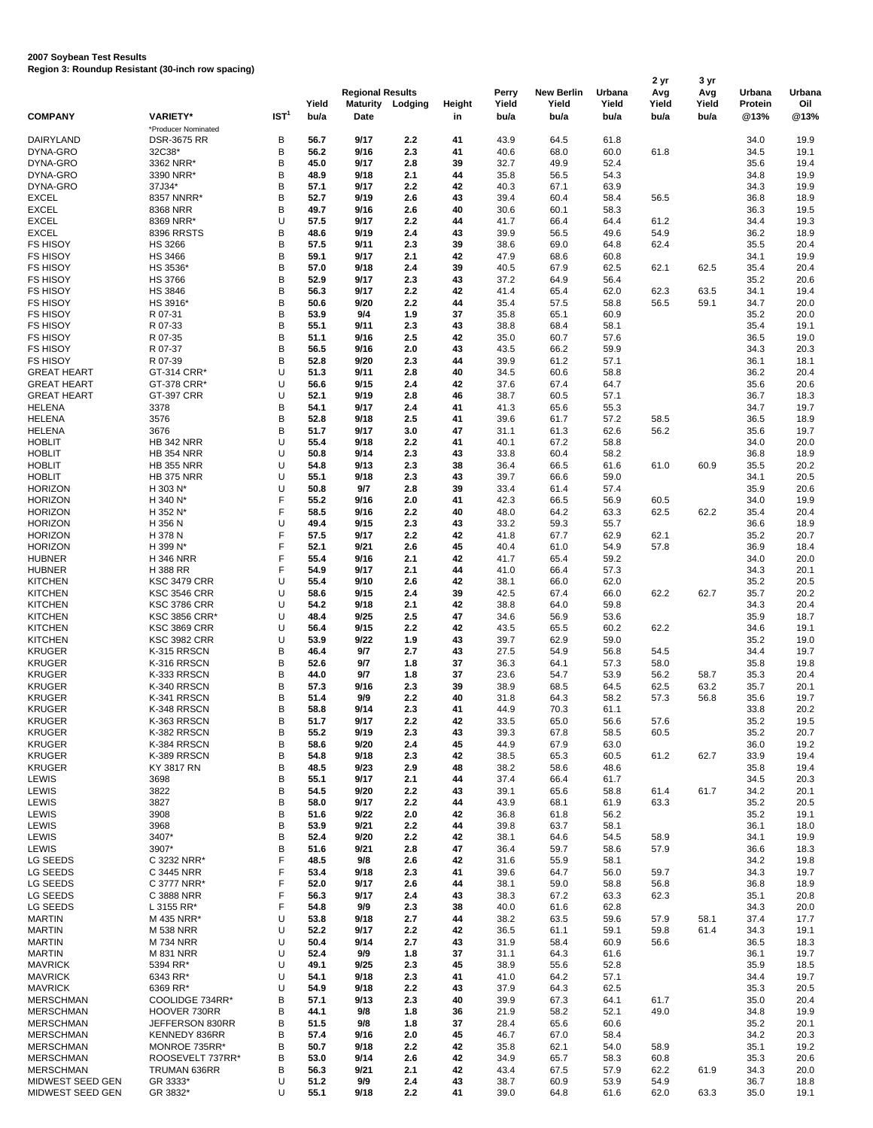| is and in the main of the second terms of the second second second second second second second second second s |                                            |                  |               | <b>Regional Results</b> |            |              | Perry         | <b>New Berlin</b> | Urbana        | 2 yr<br>Avg   | 3 yr<br>Avg   | Urbana          | Urbana       |
|----------------------------------------------------------------------------------------------------------------|--------------------------------------------|------------------|---------------|-------------------------|------------|--------------|---------------|-------------------|---------------|---------------|---------------|-----------------|--------------|
| <b>COMPANY</b>                                                                                                 | <b>VARIETY*</b>                            | IST <sup>1</sup> | Yield<br>bu/a | <b>Maturity</b><br>Date | Lodging    | Height<br>in | Yield<br>bu/a | Yield<br>bu/a     | Yield<br>bu/a | Yield<br>bu/a | Yield<br>bu/a | Protein<br>@13% | Oil<br>@13%  |
|                                                                                                                | *Producer Nominated                        |                  |               |                         |            |              |               |                   |               |               |               |                 |              |
| DAIRYLAND<br>DYNA-GRO                                                                                          | <b>DSR-3675 RR</b><br>32C38*               | В<br>B           | 56.7<br>56.2  | 9/17<br>9/16            | 2.2<br>2.3 | 41<br>41     | 43.9<br>40.6  | 64.5<br>68.0      | 61.8<br>60.0  | 61.8          |               | 34.0<br>34.5    | 19.9<br>19.1 |
| DYNA-GRO                                                                                                       | 3362 NRR*                                  | B                | 45.0          | 9/17                    | 2.8        | 39           | 32.7          | 49.9              | 52.4          |               |               | 35.6            | 19.4         |
| DYNA-GRO                                                                                                       | 3390 NRR*                                  | B                | 48.9          | 9/18                    | 2.1        | 44           | 35.8          | 56.5              | 54.3          |               |               | 34.8            | 19.9         |
| DYNA-GRO<br><b>EXCEL</b>                                                                                       | 37J34*<br>8357 NNRR*                       | B<br>B           | 57.1<br>52.7  | 9/17<br>9/19            | 2.2<br>2.6 | 42<br>43     | 40.3<br>39.4  | 67.1<br>60.4      | 63.9<br>58.4  | 56.5          |               | 34.3<br>36.8    | 19.9<br>18.9 |
| <b>EXCEL</b>                                                                                                   | 8368 NRR                                   | B                | 49.7          | 9/16                    | 2.6        | 40           | 30.6          | 60.1              | 58.3          |               |               | 36.3            | 19.5         |
| <b>EXCEL</b>                                                                                                   | 8369 NRR*                                  | U                | 57.5          | 9/17                    | 2.2        | 44           | 41.7          | 66.4              | 64.4          | 61.2          |               | 34.4            | 19.3         |
| <b>EXCEL</b>                                                                                                   | 8396 RRSTS                                 | B                | 48.6          | 9/19                    | 2.4        | 43           | 39.9          | 56.5              | 49.6          | 54.9          |               | 36.2            | 18.9         |
| <b>FS HISOY</b><br><b>FS HISOY</b>                                                                             | <b>HS 3266</b><br>HS 3466                  | B<br>B           | 57.5<br>59.1  | 9/11<br>9/17            | 2.3<br>2.1 | 39<br>42     | 38.6<br>47.9  | 69.0<br>68.6      | 64.8<br>60.8  | 62.4          |               | 35.5<br>34.1    | 20.4<br>19.9 |
| <b>FS HISOY</b>                                                                                                | HS 3536*                                   | B                | 57.0          | 9/18                    | 2.4        | 39           | 40.5          | 67.9              | 62.5          | 62.1          | 62.5          | 35.4            | 20.4         |
| <b>FS HISOY</b>                                                                                                | <b>HS 3766</b>                             | B                | 52.9          | 9/17                    | 2.3        | 43           | 37.2          | 64.9              | 56.4          |               |               | 35.2            | 20.6         |
| <b>FS HISOY</b><br><b>FS HISOY</b>                                                                             | <b>HS 3846</b><br>HS 3916*                 | B<br>B           | 56.3<br>50.6  | 9/17<br>9/20            | 2.2<br>2.2 | 42<br>44     | 41.4<br>35.4  | 65.4<br>57.5      | 62.0<br>58.8  | 62.3<br>56.5  | 63.5<br>59.1  | 34.1<br>34.7    | 19.4<br>20.0 |
| <b>FS HISOY</b>                                                                                                | R 07-31                                    | B                | 53.9          | 9/4                     | 1.9        | 37           | 35.8          | 65.1              | 60.9          |               |               | 35.2            | 20.0         |
| <b>FS HISOY</b>                                                                                                | R 07-33                                    | B                | 55.1          | 9/11                    | 2.3        | 43           | 38.8          | 68.4              | 58.1          |               |               | 35.4            | 19.1         |
| <b>FS HISOY</b>                                                                                                | R 07-35                                    | B                | 51.1          | 9/16                    | 2.5        | 42           | 35.0          | 60.7              | 57.6          |               |               | 36.5            | 19.0         |
| <b>FS HISOY</b><br><b>FS HISOY</b>                                                                             | R 07-37<br>R 07-39                         | B<br>B           | 56.5<br>52.8  | 9/16<br>9/20            | 2.0<br>2.3 | 43<br>44     | 43.5<br>39.9  | 66.2<br>61.2      | 59.9<br>57.1  |               |               | 34.3<br>36.1    | 20.3<br>18.1 |
| <b>GREAT HEART</b>                                                                                             | GT-314 CRR*                                | U                | 51.3          | 9/11                    | 2.8        | 40           | 34.5          | 60.6              | 58.8          |               |               | 36.2            | 20.4         |
| <b>GREAT HEART</b>                                                                                             | GT-378 CRR*                                | U                | 56.6          | 9/15                    | 2.4        | 42           | 37.6          | 67.4              | 64.7          |               |               | 35.6            | 20.6         |
| <b>GREAT HEART</b>                                                                                             | <b>GT-397 CRR</b>                          | U<br>B           | 52.1          | 9/19                    | 2.8        | 46           | 38.7          | 60.5              | 57.1          |               |               | 36.7            | 18.3         |
| <b>HELENA</b><br><b>HELENA</b>                                                                                 | 3378<br>3576                               | B                | 54.1<br>52.8  | 9/17<br>9/18            | 2.4<br>2.5 | 41<br>41     | 41.3<br>39.6  | 65.6<br>61.7      | 55.3<br>57.2  | 58.5          |               | 34.7<br>36.5    | 19.7<br>18.9 |
| HELENA                                                                                                         | 3676                                       | B                | 51.7          | 9/17                    | 3.0        | 47           | 31.1          | 61.3              | 62.6          | 56.2          |               | 35.6            | 19.7         |
| <b>HOBLIT</b>                                                                                                  | <b>HB 342 NRR</b>                          | U                | 55.4          | 9/18                    | 2.2        | 41           | 40.1          | 67.2              | 58.8          |               |               | 34.0            | 20.0         |
| <b>HOBLIT</b>                                                                                                  | <b>HB 354 NRR</b>                          | U<br>U           | 50.8          | 9/14<br>9/13            | 2.3        | 43           | 33.8          | 60.4              | 58.2          |               |               | 36.8            | 18.9         |
| <b>HOBLIT</b><br><b>HOBLIT</b>                                                                                 | <b>HB 355 NRR</b><br><b>HB 375 NRR</b>     | U                | 54.8<br>55.1  | 9/18                    | 2.3<br>2.3 | 38<br>43     | 36.4<br>39.7  | 66.5<br>66.6      | 61.6<br>59.0  | 61.0          | 60.9          | 35.5<br>34.1    | 20.2<br>20.5 |
| <b>HORIZON</b>                                                                                                 | H 303 N*                                   | U                | 50.8          | 9/7                     | 2.8        | 39           | 33.4          | 61.4              | 57.4          |               |               | 35.9            | 20.6         |
| <b>HORIZON</b>                                                                                                 | H 340 N*                                   | F                | 55.2          | 9/16                    | 2.0        | 41           | 42.3          | 66.5              | 56.9          | 60.5          |               | 34.0            | 19.9         |
| <b>HORIZON</b><br><b>HORIZON</b>                                                                               | H 352 N*<br>H 356 N                        | F<br>U           | 58.5<br>49.4  | 9/16<br>9/15            | 2.2<br>2.3 | 40<br>43     | 48.0<br>33.2  | 64.2<br>59.3      | 63.3<br>55.7  | 62.5          | 62.2          | 35.4<br>36.6    | 20.4<br>18.9 |
| <b>HORIZON</b>                                                                                                 | H 378 N                                    | F                | 57.5          | 9/17                    | 2.2        | 42           | 41.8          | 67.7              | 62.9          | 62.1          |               | 35.2            | 20.7         |
| <b>HORIZON</b>                                                                                                 | H 399 N*                                   | F                | 52.1          | 9/21                    | 2.6        | 45           | 40.4          | 61.0              | 54.9          | 57.8          |               | 36.9            | 18.4         |
| <b>HUBNER</b>                                                                                                  | <b>H346 NRR</b>                            | F                | 55.4          | 9/16                    | 2.1        | 42           | 41.7          | 65.4              | 59.2          |               |               | 34.0            | 20.0         |
| <b>HUBNER</b><br><b>KITCHEN</b>                                                                                | H 388 RR<br><b>KSC 3479 CRR</b>            | F<br>U           | 54.9<br>55.4  | 9/17<br>9/10            | 2.1<br>2.6 | 44<br>42     | 41.0<br>38.1  | 66.4<br>66.0      | 57.3<br>62.0  |               |               | 34.3<br>35.2    | 20.1<br>20.5 |
| <b>KITCHEN</b>                                                                                                 | <b>KSC 3546 CRR</b>                        | U                | 58.6          | 9/15                    | 2.4        | 39           | 42.5          | 67.4              | 66.0          | 62.2          | 62.7          | 35.7            | 20.2         |
| <b>KITCHEN</b>                                                                                                 | <b>KSC 3786 CRR</b>                        | U                | 54.2          | 9/18                    | 2.1        | 42           | 38.8          | 64.0              | 59.8          |               |               | 34.3            | 20.4         |
| <b>KITCHEN</b>                                                                                                 | <b>KSC 3856 CRR*</b>                       | U                | 48.4          | 9/25                    | 2.5        | 47           | 34.6          | 56.9              | 53.6          |               |               | 35.9            | 18.7         |
| <b>KITCHEN</b><br><b>KITCHEN</b>                                                                               | <b>KSC 3869 CRR</b><br><b>KSC 3982 CRR</b> | U<br>U           | 56.4<br>53.9  | 9/15<br>9/22            | 2.2<br>1.9 | 42<br>43     | 43.5<br>39.7  | 65.5<br>62.9      | 60.2<br>59.0  | 62.2          |               | 34.6<br>35.2    | 19.1<br>19.0 |
| <b>KRUGER</b>                                                                                                  | K-315 RRSCN                                | B                | 46.4          | 9/7                     | 2.7        | 43           | 27.5          | 54.9              | 56.8          | 54.5          |               | 34.4            | 19.7         |
| <b>KRUGER</b>                                                                                                  | K-316 RRSCN                                | B                | 52.6          | 9/7                     | 1.8        | 37           | 36.3          | 64.1              | 57.3          | 58.0          |               | 35.8            | 19.8         |
| <b>KRUGER</b>                                                                                                  | K-333 RRSCN                                | B                | 44.0          | 9/7                     | 1.8        | 37           | 23.6          | 54.7              | 53.9          | 56.2          | 58.7          | 35.3            | 20.4         |
| <b>KRUGER</b><br><b>KRUGER</b>                                                                                 | K-340 RRSCN<br>K-341 RRSCN                 | B<br>B           | 57.3<br>51.4  | 9/16<br>9/9             | 2.3<br>2.2 | 39<br>40     | 38.9<br>31.8  | 68.5<br>64.3      | 64.5<br>58.2  | 62.5<br>57.3  | 63.2<br>56.8  | 35.7<br>35.6    | 20.1<br>19.7 |
| <b>KRUGER</b>                                                                                                  | K-348 RRSCN                                | B                | 58.8          | 9/14                    | 2.3        | 41           | 44.9          | 70.3              | 61.1          |               |               | 33.8            | 20.2         |
| KRUGER                                                                                                         | K-363 RRSCN                                | B                | 51.7          | 9/17                    | 2.2        | 42           | 33.5          | 65.0              | 56.6          | 57.6          |               | 35.2            | 19.5         |
| <b>KRUGER</b>                                                                                                  | K-382 RRSCN                                | B<br>B           | 55.2<br>58.6  | 9/19                    | 2.3        | 43           | 39.3          | 67.8              | 58.5          | 60.5          |               | 35.2            | 20.7         |
| <b>KRUGER</b><br><b>KRUGER</b>                                                                                 | K-384 RRSCN<br>K-389 RRSCN                 | B                | 54.8          | 9/20<br>9/18            | 2.4<br>2.3 | 45<br>42     | 44.9<br>38.5  | 67.9<br>65.3      | 63.0<br>60.5  | 61.2          | 62.7          | 36.0<br>33.9    | 19.2<br>19.4 |
| <b>KRUGER</b>                                                                                                  | KY 3817 RN                                 | B                | 48.5          | 9/23                    | 2.9        | 48           | 38.2          | 58.6              | 48.6          |               |               | 35.8            | 19.4         |
| LEWIS                                                                                                          | 3698                                       | B                | 55.1          | 9/17                    | 2.1        | 44           | 37.4          | 66.4              | 61.7          |               |               | 34.5            | 20.3         |
| LEWIS<br>LEWIS                                                                                                 | 3822<br>3827                               | B<br>B           | 54.5<br>58.0  | 9/20<br>9/17            | 2.2<br>2.2 | 43<br>44     | 39.1<br>43.9  | 65.6<br>68.1      | 58.8<br>61.9  | 61.4<br>63.3  | 61.7          | 34.2<br>35.2    | 20.1<br>20.5 |
| LEWIS                                                                                                          | 3908                                       | B                | 51.6          | 9/22                    | 2.0        | 42           | 36.8          | 61.8              | 56.2          |               |               | 35.2            | 19.1         |
| LEWIS                                                                                                          | 3968                                       | B                | 53.9          | 9/21                    | 2.2        | 44           | 39.8          | 63.7              | 58.1          |               |               | 36.1            | 18.0         |
| LEWIS                                                                                                          | 3407*                                      | B                | 52.4          | 9/20                    | 2.2        | 42           | 38.1          | 64.6              | 54.5          | 58.9          |               | 34.1            | 19.9         |
| LEWIS<br>LG SEEDS                                                                                              | 3907*<br>C 3232 NRR*                       | B<br>F           | 51.6<br>48.5  | 9/21<br>9/8             | 2.8<br>2.6 | 47<br>42     | 36.4<br>31.6  | 59.7<br>55.9      | 58.6<br>58.1  | 57.9          |               | 36.6<br>34.2    | 18.3<br>19.8 |
| LG SEEDS                                                                                                       | C 3445 NRR                                 | F                | 53.4          | 9/18                    | 2.3        | 41           | 39.6          | 64.7              | 56.0          | 59.7          |               | 34.3            | 19.7         |
| LG SEEDS                                                                                                       | C 3777 NRR*                                | F                | 52.0          | 9/17                    | 2.6        | 44           | 38.1          | 59.0              | 58.8          | 56.8          |               | 36.8            | 18.9         |
| LG SEEDS                                                                                                       | C 3888 NRR                                 | F                | 56.3          | 9/17                    | 2.4        | 43           | 38.3          | 67.2              | 63.3          | 62.3          |               | 35.1            | 20.8         |
| LG SEEDS<br><b>MARTIN</b>                                                                                      | L 3155 RR*<br>M 435 NRR*                   | F<br>U           | 54.8<br>53.8  | 9/9<br>9/18             | 2.3<br>2.7 | 38<br>44     | 40.0<br>38.2  | 61.6<br>63.5      | 62.8<br>59.6  | 57.9          | 58.1          | 34.3<br>37.4    | 20.0<br>17.7 |
| <b>MARTIN</b>                                                                                                  | <b>M 538 NRR</b>                           | U                | 52.2          | 9/17                    | 2.2        | 42           | 36.5          | 61.1              | 59.1          | 59.8          | 61.4          | 34.3            | 19.1         |
| <b>MARTIN</b>                                                                                                  | <b>M734 NRR</b>                            | U                | 50.4          | 9/14                    | 2.7        | 43           | 31.9          | 58.4              | 60.9          | 56.6          |               | 36.5            | 18.3         |
| <b>MARTIN</b>                                                                                                  | M 831 NRR                                  | U                | 52.4          | 9/9                     | 1.8        | 37           | 31.1          | 64.3              | 61.6          |               |               | 36.1            | 19.7         |
| <b>MAVRICK</b><br><b>MAVRICK</b>                                                                               | 5394 RR*<br>6343 RR*                       | U<br>U           | 49.1<br>54.1  | 9/25<br>9/18            | 2.3<br>2.3 | 45<br>41     | 38.9<br>41.0  | 55.6<br>64.2      | 52.8<br>57.1  |               |               | 35.9<br>34.4    | 18.5<br>19.7 |
| <b>MAVRICK</b>                                                                                                 | 6369 RR*                                   | U                | 54.9          | 9/18                    | 2.2        | 43           | 37.9          | 64.3              | 62.5          |               |               | 35.3            | 20.5         |
| <b>MERSCHMAN</b>                                                                                               | COOLIDGE 734RR*                            | B                | 57.1          | 9/13                    | 2.3        | 40           | 39.9          | 67.3              | 64.1          | 61.7          |               | 35.0            | 20.4         |
| <b>MERSCHMAN</b>                                                                                               | HOOVER 730RR                               | B                | 44.1          | 9/8                     | 1.8        | 36           | 21.9          | 58.2              | 52.1          | 49.0          |               | 34.8            | 19.9         |
| <b>MERSCHMAN</b><br><b>MERSCHMAN</b>                                                                           | JEFFERSON 830RR<br>KENNEDY 836RR           | B<br>B           | 51.5<br>57.4  | 9/8<br>9/16             | 1.8<br>2.0 | 37<br>45     | 28.4<br>46.7  | 65.6<br>67.0      | 60.6<br>58.4  |               |               | 35.2<br>34.2    | 20.1<br>20.3 |
| <b>MERSCHMAN</b>                                                                                               | MONROE 735RR*                              | B                | 50.7          | 9/18                    | 2.2        | 42           | 35.8          | 62.1              | 54.0          | 58.9          |               | 35.1            | 19.2         |
| <b>MERSCHMAN</b>                                                                                               | ROOSEVELT 737RR*                           | B                | 53.0          | 9/14                    | 2.6        | 42           | 34.9          | 65.7              | 58.3          | 60.8          |               | 35.3            | 20.6         |
| <b>MERSCHMAN</b><br>MIDWEST SEED GEN                                                                           | TRUMAN 636RR<br>GR 3333*                   | В<br>U           | 56.3<br>51.2  | 9/21<br>9/9             | 2.1<br>2.4 | 42<br>43     | 43.4<br>38.7  | 67.5<br>60.9      | 57.9<br>53.9  | 62.2<br>54.9  | 61.9          | 34.3<br>36.7    | 20.0<br>18.8 |
| MIDWEST SEED GEN                                                                                               | GR 3832*                                   | U                | 55.1          | 9/18                    | 2.2        | 41           | 39.0          | 64.8              | 61.6          | 62.0          | 63.3          | 35.0            | 19.1         |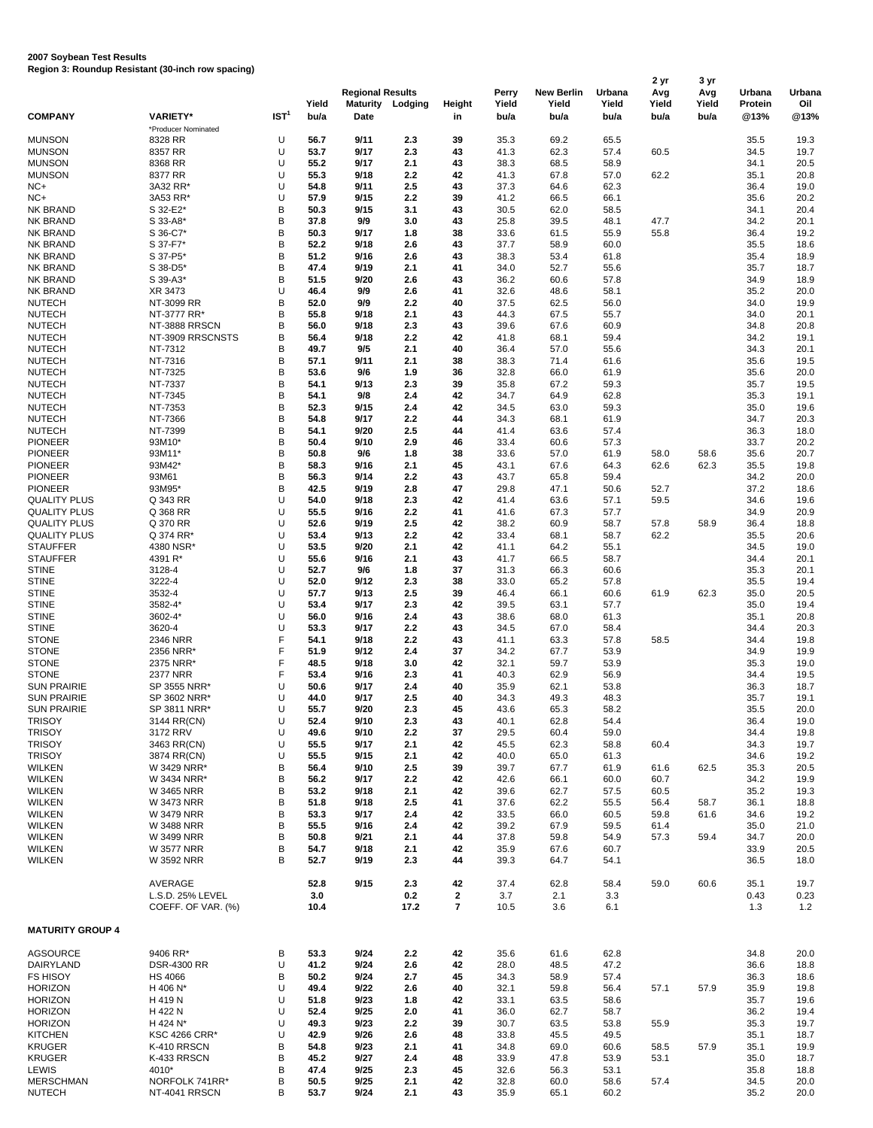|                                            |                                |                  | Yield        | <b>Regional Results</b><br><b>Maturity</b> | Lodging    | Height       | Perry<br>Yield | <b>New Berlin</b><br>Yield | Urbana<br>Yield | 2 yr<br>Avg<br>Yield | 3 yr<br>Avg<br>Yield | Urbana<br>Protein | Urbana<br>Oil |
|--------------------------------------------|--------------------------------|------------------|--------------|--------------------------------------------|------------|--------------|----------------|----------------------------|-----------------|----------------------|----------------------|-------------------|---------------|
| <b>COMPANY</b>                             | <b>VARIETY*</b>                | IST <sup>1</sup> | bu/a         | Date                                       |            | in           | bu/a           | bu/a                       | bu/a            | bu/a                 | bu/a                 | @13%              | @13%          |
| <b>MUNSON</b>                              | *Producer Nominated<br>8328 RR | U                | 56.7         | 9/11                                       | 2.3        | 39           | 35.3           | 69.2                       | 65.5            |                      |                      | 35.5              | 19.3          |
| <b>MUNSON</b>                              | 8357 RR                        | U                | 53.7         | 9/17                                       | 2.3        | 43           | 41.3           | 62.3                       | 57.4            | 60.5                 |                      | 34.5              | 19.7          |
| <b>MUNSON</b>                              | 8368 RR                        | U                | 55.2         | 9/17                                       | 2.1        | 43           | 38.3           | 68.5                       | 58.9            |                      |                      | 34.1              | 20.5          |
| <b>MUNSON</b>                              | 8377 RR                        | U                | 55.3         | 9/18                                       | 2.2        | 42           | 41.3           | 67.8                       | 57.0            | 62.2                 |                      | 35.1              | 20.8          |
| NC+                                        | 3A32 RR*                       | U                | 54.8         | 9/11                                       | 2.5        | 43           | 37.3           | 64.6                       | 62.3            |                      |                      | 36.4              | 19.0          |
| NC+                                        | 3A53 RR*                       | U                | 57.9         | 9/15                                       | 2.2        | 39           | 41.2           | 66.5                       | 66.1            |                      |                      | 35.6              | 20.2          |
| NK BRAND                                   | S 32-E2*                       | B                | 50.3         | 9/15                                       | 3.1        | 43           | 30.5           | 62.0                       | 58.5            |                      |                      | 34.1              | 20.4          |
| <b>NK BRAND</b>                            | S 33-A8*                       | B                | 37.8         | 9/9                                        | 3.0        | 43           | 25.8           | 39.5                       | 48.1            | 47.7                 |                      | 34.2              | 20.1          |
| <b>NK BRAND</b><br><b>NK BRAND</b>         | S 36-C7*<br>S 37-F7*           | B<br>B           | 50.3<br>52.2 | 9/17<br>9/18                               | 1.8<br>2.6 | 38<br>43     | 33.6<br>37.7   | 61.5<br>58.9               | 55.9<br>60.0    | 55.8                 |                      | 36.4<br>35.5      | 19.2<br>18.6  |
| NK BRAND                                   | S 37-P5*                       | B                | 51.2         | 9/16                                       | 2.6        | 43           | 38.3           | 53.4                       | 61.8            |                      |                      | 35.4              | 18.9          |
| <b>NK BRAND</b>                            | S 38-D5*                       | B                | 47.4         | 9/19                                       | 2.1        | 41           | 34.0           | 52.7                       | 55.6            |                      |                      | 35.7              | 18.7          |
| <b>NK BRAND</b>                            | S 39-A3*                       | B                | 51.5         | 9/20                                       | 2.6        | 43           | 36.2           | 60.6                       | 57.8            |                      |                      | 34.9              | 18.9          |
| <b>NK BRAND</b>                            | XR 3473                        | U                | 46.4         | 9/9                                        | 2.6        | 41           | 32.6           | 48.6                       | 58.1            |                      |                      | 35.2              | 20.0          |
| <b>NUTECH</b>                              | NT-3099 RR                     | B                | 52.0         | 9/9                                        | 2.2        | 40           | 37.5           | 62.5                       | 56.0            |                      |                      | 34.0              | 19.9          |
| <b>NUTECH</b>                              | NT-3777 RR*                    | B                | 55.8         | 9/18                                       | 2.1        | 43           | 44.3           | 67.5                       | 55.7            |                      |                      | 34.0              | 20.1          |
| <b>NUTECH</b>                              | NT-3888 RRSCN                  | B                | 56.0         | 9/18                                       | 2.3        | 43           | 39.6           | 67.6                       | 60.9            |                      |                      | 34.8              | 20.8          |
| <b>NUTECH</b>                              | NT-3909 RRSCNSTS               | B<br>B           | 56.4<br>49.7 | 9/18                                       | 2.2        | 42<br>40     | 41.8           | 68.1                       | 59.4<br>55.6    |                      |                      | 34.2              | 19.1          |
| <b>NUTECH</b><br><b>NUTECH</b>             | NT-7312<br>NT-7316             | B                | 57.1         | 9/5<br>9/11                                | 2.1<br>2.1 | 38           | 36.4<br>38.3   | 57.0<br>71.4               | 61.6            |                      |                      | 34.3<br>35.6      | 20.1<br>19.5  |
| <b>NUTECH</b>                              | NT-7325                        | B                | 53.6         | 9/6                                        | 1.9        | 36           | 32.8           | 66.0                       | 61.9            |                      |                      | 35.6              | 20.0          |
| <b>NUTECH</b>                              | NT-7337                        | B                | 54.1         | 9/13                                       | 2.3        | 39           | 35.8           | 67.2                       | 59.3            |                      |                      | 35.7              | 19.5          |
| <b>NUTECH</b>                              | NT-7345                        | B                | 54.1         | 9/8                                        | 2.4        | 42           | 34.7           | 64.9                       | 62.8            |                      |                      | 35.3              | 19.1          |
| <b>NUTECH</b>                              | NT-7353                        | B                | 52.3         | 9/15                                       | 2.4        | 42           | 34.5           | 63.0                       | 59.3            |                      |                      | 35.0              | 19.6          |
| <b>NUTECH</b>                              | NT-7366                        | B                | 54.8         | 9/17                                       | 2.2        | 44           | 34.3           | 68.1                       | 61.9            |                      |                      | 34.7              | 20.3          |
| <b>NUTECH</b>                              | NT-7399                        | B                | 54.1         | 9/20                                       | 2.5        | 44           | 41.4           | 63.6                       | 57.4            |                      |                      | 36.3              | 18.0          |
| <b>PIONEER</b>                             | 93M10*                         | B                | 50.4         | 9/10                                       | 2.9        | 46           | 33.4           | 60.6                       | 57.3            |                      |                      | 33.7              | 20.2          |
| <b>PIONEER</b>                             | 93M11*                         | B                | 50.8         | 9/6                                        | 1.8        | 38           | 33.6           | 57.0                       | 61.9            | 58.0                 | 58.6                 | 35.6              | 20.7          |
| <b>PIONEER</b>                             | 93M42*                         | B                | 58.3         | 9/16                                       | 2.1        | 45           | 43.1           | 67.6                       | 64.3            | 62.6                 | 62.3                 | 35.5              | 19.8          |
| <b>PIONEER</b>                             | 93M61                          | B                | 56.3         | 9/14                                       | 2.2        | 43           | 43.7           | 65.8                       | 59.4            |                      |                      | 34.2              | 20.0          |
| <b>PIONEER</b>                             | 93M95*                         | B<br>U           | 42.5         | 9/19                                       | 2.8        | 47           | 29.8           | 47.1                       | 50.6            | 52.7                 |                      | 37.2              | 18.6          |
| <b>QUALITY PLUS</b><br><b>QUALITY PLUS</b> | Q 343 RR<br>Q 368 RR           | U                | 54.0<br>55.5 | 9/18<br>9/16                               | 2.3<br>2.2 | 42<br>41     | 41.4<br>41.6   | 63.6<br>67.3               | 57.1<br>57.7    | 59.5                 |                      | 34.6<br>34.9      | 19.6<br>20.9  |
| <b>QUALITY PLUS</b>                        | Q 370 RR                       | U                | 52.6         | 9/19                                       | 2.5        | 42           | 38.2           | 60.9                       | 58.7            | 57.8                 | 58.9                 | 36.4              | 18.8          |
| <b>QUALITY PLUS</b>                        | Q 374 RR*                      | U                | 53.4         | 9/13                                       | 2.2        | 42           | 33.4           | 68.1                       | 58.7            | 62.2                 |                      | 35.5              | 20.6          |
| <b>STAUFFER</b>                            | 4380 NSR*                      | U                | 53.5         | 9/20                                       | 2.1        | 42           | 41.1           | 64.2                       | 55.1            |                      |                      | 34.5              | 19.0          |
| <b>STAUFFER</b>                            | 4391 R*                        | U                | 55.6         | 9/16                                       | 2.1        | 43           | 41.7           | 66.5                       | 58.7            |                      |                      | 34.4              | 20.1          |
| <b>STINE</b>                               | 3128-4                         | U                | 52.7         | 9/6                                        | 1.8        | 37           | 31.3           | 66.3                       | 60.6            |                      |                      | 35.3              | 20.1          |
| <b>STINE</b>                               | 3222-4                         | U                | 52.0         | 9/12                                       | 2.3        | 38           | 33.0           | 65.2                       | 57.8            |                      |                      | 35.5              | 19.4          |
| <b>STINE</b>                               | 3532-4                         | U                | 57.7         | 9/13                                       | 2.5        | 39           | 46.4           | 66.1                       | 60.6            | 61.9                 | 62.3                 | 35.0              | 20.5          |
| <b>STINE</b>                               | 3582-4*                        | U                | 53.4         | 9/17                                       | 2.3        | 42           | 39.5           | 63.1                       | 57.7            |                      |                      | 35.0              | 19.4          |
| <b>STINE</b>                               | 3602-4*                        | U                | 56.0         | 9/16                                       | 2.4        | 43           | 38.6           | 68.0                       | 61.3            |                      |                      | 35.1              | 20.8          |
| <b>STINE</b>                               | 3620-4                         | U                | 53.3         | 9/17                                       | 2.2        | 43           | 34.5           | 67.0                       | 58.4            |                      |                      | 34.4              | 20.3          |
| <b>STONE</b>                               | 2346 NRR<br>2356 NRR*          | F<br>F           | 54.1<br>51.9 | 9/18<br>9/12                               | 2.2<br>2.4 | 43<br>37     | 41.1           | 63.3                       | 57.8            | 58.5                 |                      | 34.4              | 19.8          |
| <b>STONE</b><br><b>STONE</b>               | 2375 NRR*                      | F                | 48.5         | 9/18                                       | 3.0        | 42           | 34.2<br>32.1   | 67.7<br>59.7               | 53.9<br>53.9    |                      |                      | 34.9<br>35.3      | 19.9<br>19.0  |
| <b>STONE</b>                               | <b>2377 NRR</b>                | F                | 53.4         | 9/16                                       | 2.3        | 41           | 40.3           | 62.9                       | 56.9            |                      |                      | 34.4              | 19.5          |
| <b>SUN PRAIRIE</b>                         | SP 3555 NRR*                   | U                | 50.6         | 9/17                                       | 2.4        | 40           | 35.9           | 62.1                       | 53.8            |                      |                      | 36.3              | 18.7          |
| <b>SUN PRAIRIE</b>                         | SP 3602 NRR*                   | U                | 44.0         | 9/17                                       | 2.5        | 40           | 34.3           | 49.3                       | 48.3            |                      |                      | 35.7              | 19.1          |
| <b>SUN PRAIRIE</b>                         | SP 3811 NRR*                   | U                | 55.7         | 9/20                                       | 2.3        | 45           | 43.6           | 65.3                       | 58.2            |                      |                      | 35.5              | 20.0          |
| <b>TRISOY</b>                              | 3144 RR(CN)                    | U                | 52.4         | 9/10                                       | 2.3        | 43           | 40.1           | 62.8                       | 54.4            |                      |                      | 36.4              | 19.0          |
| <b>TRISOY</b>                              | 3172 RRV                       | U                | 49.6         | 9/10                                       | 2.2        | 37           | 29.5           | 60.4                       | 59.0            |                      |                      | 34.4              | 19.8          |
| <b>TRISOY</b>                              | 3463 RR(CN)                    | U                | 55.5         | 9/17                                       | 2.1        | 42           | 45.5           | 62.3                       | 58.8            | 60.4                 |                      | 34.3              | 19.7          |
| <b>TRISOY</b>                              | 3874 RR(CN)                    | U                | 55.5         | 9/15                                       | 2.1        | 42           | 40.0           | 65.0                       | 61.3            |                      |                      | 34.6              | 19.2          |
| <b>WILKEN</b>                              | W 3429 NRR*                    | B                | 56.4         | 9/10                                       | 2.5        | 39           | 39.7           | 67.7                       | 61.9            | 61.6                 | 62.5                 | 35.3              | 20.5          |
| <b>WILKEN</b>                              | W 3434 NRR*                    | B                | 56.2         | 9/17                                       | 2.2        | 42           | 42.6           | 66.1                       | 60.0            | 60.7                 |                      | 34.2              | 19.9          |
| <b>WILKEN</b><br><b>WILKEN</b>             | W 3465 NRR<br>W 3473 NRR       | B<br>B           | 53.2<br>51.8 | 9/18<br>9/18                               | 2.1<br>2.5 | 42<br>41     | 39.6<br>37.6   | 62.7<br>62.2               | 57.5<br>55.5    | 60.5<br>56.4         | 58.7                 | 35.2<br>36.1      | 19.3<br>18.8  |
| <b>WILKEN</b>                              | W 3479 NRR                     | B                | 53.3         | 9/17                                       | 2.4        | 42           | 33.5           | 66.0                       | 60.5            | 59.8                 | 61.6                 | 34.6              | 19.2          |
| <b>WILKEN</b>                              | W 3488 NRR                     | B                | 55.5         | 9/16                                       | 2.4        | 42           | 39.2           | 67.9                       | 59.5            | 61.4                 |                      | 35.0              | 21.0          |
| <b>WILKEN</b>                              | W 3499 NRR                     | B                | 50.8         | 9/21                                       | 2.1        | 44           | 37.8           | 59.8                       | 54.9            | 57.3                 | 59.4                 | 34.7              | 20.0          |
| <b>WILKEN</b>                              | W 3577 NRR                     | B                | 54.7         | 9/18                                       | 2.1        | 42           | 35.9           | 67.6                       | 60.7            |                      |                      | 33.9              | 20.5          |
| <b>WILKEN</b>                              | W 3592 NRR                     | B                | 52.7         | 9/19                                       | 2.3        | 44           | 39.3           | 64.7                       | 54.1            |                      |                      | 36.5              | 18.0          |
|                                            |                                |                  |              |                                            |            |              |                |                            |                 |                      |                      |                   |               |
|                                            | AVERAGE                        |                  | 52.8         | 9/15                                       | 2.3        | 42           | 37.4           | 62.8                       | 58.4            | 59.0                 | 60.6                 | 35.1              | 19.7          |
|                                            | L.S.D. 25% LEVEL               |                  | 3.0          |                                            | 0.2        | $\mathbf{2}$ | 3.7            | 2.1                        | 3.3             |                      |                      | 0.43              | 0.23          |
| <b>MATURITY GROUP 4</b>                    | COEFF. OF VAR. (%)             |                  | 10.4         |                                            | 17.2       | 7            | 10.5           | 3.6                        | 6.1             |                      |                      | 1.3               | 1.2           |
|                                            |                                |                  |              |                                            |            |              |                |                            |                 |                      |                      |                   |               |
| <b>AGSOURCE</b>                            | 9406 RR*                       | B                | 53.3         | 9/24                                       | 2.2        | 42           | 35.6           | 61.6                       | 62.8            |                      |                      | 34.8              | 20.0          |
| DAIRYLAND                                  | <b>DSR-4300 RR</b>             | U                | 41.2         | 9/24                                       | 2.6        | 42           | 28.0           | 48.5                       | 47.2            |                      |                      | 36.6              | 18.8          |
| FS HISOY                                   | HS 4066                        | B                | 50.2         | 9/24                                       | 2.7        | 45           | 34.3           | 58.9                       | 57.4            |                      |                      | 36.3              | 18.6          |
| <b>HORIZON</b>                             | H 406 N*                       | U                | 49.4         | 9/22                                       | 2.6        | 40           | 32.1           | 59.8                       | 56.4            | 57.1                 | 57.9                 | 35.9              | 19.8          |
| <b>HORIZON</b><br><b>HORIZON</b>           | H 419 N                        | U<br>U           | 51.8         | 9/23                                       | 1.8<br>2.0 | 42           | 33.1           | 63.5                       | 58.6            |                      |                      | 35.7              | 19.6<br>19.4  |
| <b>HORIZON</b>                             | H 422 N<br>H 424 N*            | U                | 52.4<br>49.3 | 9/25<br>9/23                               | 2.2        | 41<br>39     | 36.0<br>30.7   | 62.7<br>63.5               | 58.7<br>53.8    | 55.9                 |                      | 36.2<br>35.3      | 19.7          |
| <b>KITCHEN</b>                             | <b>KSC 4266 CRR*</b>           | U                | 42.9         | 9/26                                       | 2.6        | 48           | 33.8           | 45.5                       | 49.5            |                      |                      | 35.1              | 18.7          |
| <b>KRUGER</b>                              | K-410 RRSCN                    | B                | 54.8         | 9/23                                       | 2.1        | 41           | 34.8           | 69.0                       | 60.6            | 58.5                 | 57.9                 | 35.1              | 19.9          |
| <b>KRUGER</b>                              | K-433 RRSCN                    | B                | 45.2         | 9/27                                       | 2.4        | 48           | 33.9           | 47.8                       | 53.9            | 53.1                 |                      | 35.0              | 18.7          |
| LEWIS                                      | 4010*                          | B                | 47.4         | 9/25                                       | 2.3        | 45           | 32.6           | 56.3                       | 53.1            |                      |                      | 35.8              | 18.8          |
| <b>MERSCHMAN</b>                           | NORFOLK 741RR*                 | В                | 50.5         | 9/25                                       | 2.1        | 42           | 32.8           | 60.0                       | 58.6            | 57.4                 |                      | 34.5              | 20.0          |
| <b>NUTECH</b>                              | NT-4041 RRSCN                  | B                | 53.7         | 9/24                                       | 2.1        | 43           | 35.9           | 65.1                       | 60.2            |                      |                      | 35.2              | 20.0          |